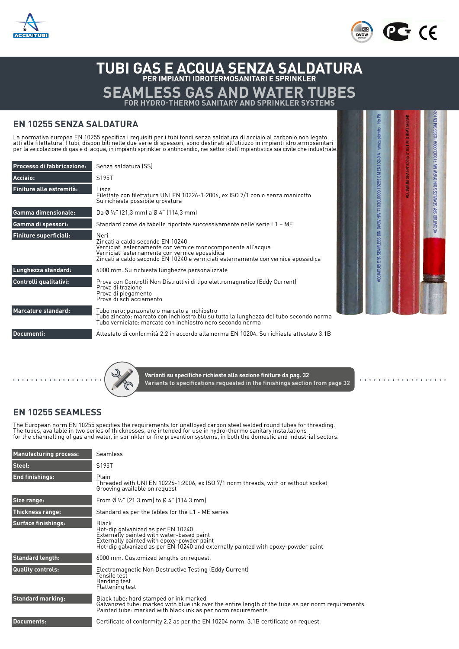



Certificazione di prodotto GOST per il mercato RUSSO

EN 10255:2004 + A1:2007

# **TUBI GAS E ACQUA SENZA SALDATURA PER IMPIANTI IDROTERMOSANITARI E SPRINKLER SEAMLESS GAS AND WATER TUBES FOR HYDRO-THERMO SANITARY AND SPRINKLER SYSTEMS**

### **EN 10255 SENZA SALDATURA**

La normativa europea EN 10255 specifica i requisiti per i tubi tondi senza saldatura di acciaio al carbonio non legato<br>atti alla filettatura. I tubi, disponibili nelle due serie di spessori, sono destinati all'utilizzo in

| Processo di fabbricazione:    | Senza saldatura (SS)                                                                                                                                                                                                                            |  |  |  |  |
|-------------------------------|-------------------------------------------------------------------------------------------------------------------------------------------------------------------------------------------------------------------------------------------------|--|--|--|--|
| Acciaio:                      | S195T                                                                                                                                                                                                                                           |  |  |  |  |
| Finiture alle estremità:      | Lisce<br>Filettate con filettatura UNI EN 10226-1:2006, ex ISO 7/1 con o senza manicotto<br>Su richiesta possibile grovatura                                                                                                                    |  |  |  |  |
| <b>Gamma dimensionale:</b>    | Da Ø ½" (21,3 mm) a Ø 4" (114,3 mm)                                                                                                                                                                                                             |  |  |  |  |
| Gamma di spessori:            | Standard come da tabelle riportate successivamente nelle serie L1 - ME                                                                                                                                                                          |  |  |  |  |
| <b>Finiture superficiali:</b> | Neri<br>Zincati a caldo secondo EN 10240<br>Verniciati esternamente con vernice monocomponente all'acqua<br>Verniciati esternamente con vernice epossidica<br>Zincati a caldo secondo EN 10240 e verniciati esternamente con vernice epossidica |  |  |  |  |
| Lunghezza standard:           | 6000 mm. Su richiesta lunghezze personalizzate                                                                                                                                                                                                  |  |  |  |  |
| Controlli qualitativi:        | Prova con Controlli Non Distruttivi di tipo elettromagnetico (Eddy Current)<br>Prova di trazione<br>Prova di piegamento<br>Prova di schiacciamento                                                                                              |  |  |  |  |
| Marcature standard:           | Tubo nero: punzonato o marcato a inchiostro<br>Tubo zincato: marcato con inchiostro blu su tutta la lunghezza del tubo secondo norma<br>Tubo verniciato: marcato con inchiostro nero secondo norma                                              |  |  |  |  |
| Documenti:                    | Attestato di conformità 2.2 in accordo alla norma EN 10204. Su richiesta attestato 3.1B                                                                                                                                                         |  |  |  |  |



. . . . . . . .



**Varianti su specifiche richieste alla sezione finiture da pag. 32 Variants to specifications requested in the finishings section from page 32**

## **EN 10255 SEAMLESS**

The European norm EN 10255 specifies the requirements for unalloyed carbon steel welded round tubes for threading.<br>The tubes, available in two series of thicknesses, are intended for use in hydro-thermo sanitary installati

| <b>Manufacturing process:</b> | Seamless                                                                                                                                                                                                                    |
|-------------------------------|-----------------------------------------------------------------------------------------------------------------------------------------------------------------------------------------------------------------------------|
| Steel:                        | S195T                                                                                                                                                                                                                       |
| <b>End finishings:</b>        | Plain<br>Threaded with UNI EN 10226-1:2006, ex ISO 7/1 norm threads, with or without socket<br>Grooving available on request                                                                                                |
| Size range:                   | From Ø $\frac{1}{2}$ " (21.3 mm) to Ø 4" (114.3 mm)                                                                                                                                                                         |
| Thickness range:              | Standard as per the tables for the L1 - ME series                                                                                                                                                                           |
| <b>Surface finishings:</b>    | Black<br>Hot-dip galvanized as per EN 10240<br>Externally painted with water-based paint<br>Externally painted with epoxy-powder paint<br>Hot-dip galvanized as per EN 10240 and externally painted with epoxy-powder paint |
| <b>Standard length:</b>       | 6000 mm. Customized lengths on request.                                                                                                                                                                                     |
| <b>Quality controls:</b>      | Electromagnetic Non Destructive Testing (Eddy Current)<br>Tensile test<br>Bending test<br>Flattening test                                                                                                                   |
| <b>Standard marking:</b>      | Black tube: hard stamped or ink marked<br>Galvanized tube: marked with blue ink over the entire length of the tube as per norm requirements<br>Painted tube: marked with black ink as per norm requirements                 |
| <b>Documents:</b>             | Certificate of conformity 2.2 as per the EN 10204 norm. 3.1B certificate on request.                                                                                                                                        |
|                               |                                                                                                                                                                                                                             |